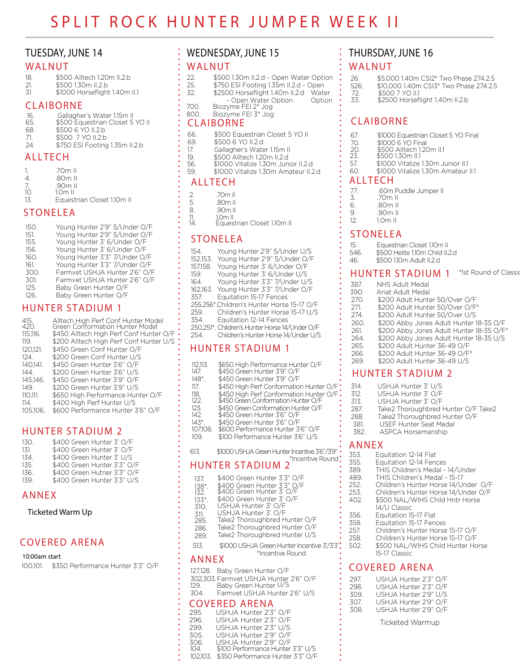# **TUESDAY, JUNE 14**

#### **WALNUT**

- 18. \$500 Alltech 1.20m II.2.b
- 21. \$500 1.30m II.2.b<br>31. \$1000 Horseflight \$1000 Horseflight 1.40m II.1

#### **CLAIBORNE**

| 16. | Gallagher's Water 1.15m II      |
|-----|---------------------------------|
| 65. | \$500 Equestrian Closet 5 YO II |
| 68. | \$500 6 YO II.2.b               |
| 71  | \$500 7 YO II.2.b               |
| 24  | \$750 ESI Footing 1.35m II.2.b  |

### **ALLTECH**

| 1   | .70m II   |  |  |
|-----|-----------|--|--|
|     | .80m II   |  |  |
| 7.  | $.90m$ II |  |  |
| 10. | $1.0m$ II |  |  |
|     |           |  |  |

13. Equestrian Closet 110m II

# **STONELEA**

# **HUNTER STADIUM 1**

| 415.<br>420.<br>115,116.<br>119.<br>120.121.<br>124.<br>140.141.<br>144<br>145.146.<br>149.<br>110.111.<br>114. | Alltech High Perf Conf Hunter Model<br>Green Conformation Hunter Model<br>\$450 Alltech High Perf Conf Hunter O/F<br>\$200 Alltech High Perf Conf Hunter U/S<br>\$450 Green Conf Hunter O/F<br>\$200 Green Conf Hunter U/S<br>\$450 Green Hunter 3'6" O/F<br>\$200 Green Hunter 3'6" U/S<br>\$450 Green Hunter 3'9" O/F<br>\$200 Green Hunter 3'9" U/S<br>\$650 High Performance Hunter O/F<br>\$400 High Perf Hunter U/S |
|-----------------------------------------------------------------------------------------------------------------|---------------------------------------------------------------------------------------------------------------------------------------------------------------------------------------------------------------------------------------------------------------------------------------------------------------------------------------------------------------------------------------------------------------------------|
| 105,106.                                                                                                        | \$600 Performance Hunter 3'6" O/F                                                                                                                                                                                                                                                                                                                                                                                         |
|                                                                                                                 |                                                                                                                                                                                                                                                                                                                                                                                                                           |

# **HUNTER STADIUM 2**

| 130. | \$400 Green Hunter 3' O/F   |
|------|-----------------------------|
| 131. | \$400 Green Hunter 3' O/F   |
| 134. | \$400 Green Hunter 3' U/S   |
| 135. | \$400 Green Hunter 3'3" O/F |
| 136. | \$400 Green Hutner 3'3" O/F |
| 139  | \$400 Green Hunter 3'3" U/S |

# **ANNEX**

#### Ticketed Warm Up

# **COVERED ARENA**

100,101. \$350 Performance Hunter 3'3" O/F 10:00am start **ALLACE INCENSITY CONSIDERENT ATTACK ATTINUE V** The starting and starting the starting of the starting of the starting of the starting of the starting of the starting of the starting of the starting of the

# **WEDNESDAY, JUNE 15**

#### **WALNUT**

- 22. \$500 1.30m II.2.d Open Water Option<br>25. \$750 ESI Footing 1.35m II.2.d Open
- 25. \$750 ESI Footing 1.35m II.2.d Open
- 32. \$2500 Horseflight 1.40m II.2.d Water
- Option Open Water Option Biozyme FEI 2\* Jog 700.
- 800. Biozyme FEI 3\* Jog

#### **CLAIBORNE**

- 66. \$500 Equestrian Closet 5 YO II<br>69. \$500 6 YO II.2.d
	- \$500 6 YO II.2.d
- 17. Gallagher's Water 1.15m II
- 19. \$500 Alltech 1.20m II.2.d<br>56. \$1000 Vitalize 1.30m Junior II.2.d
- 
- 59. \$1000 Vitalize 1.30m Amateur II.2.d

#### **ALLTECH**

- 2. 77. .60m Puddle Jumper II<br>
5. .80m II 2. .70m II 2. .70m II 2. .70m II 2. .70m II 2. .70m II 2. .70m II
	- 5. .80m II
- 8. .90m II
- 11. 1.0m II
- 14. Equestrian Closet 1.10m II

# **STONELEA**

| 154.                                       | Young Hunter 2'9" 5/Under U/S                  |  |
|--------------------------------------------|------------------------------------------------|--|
| 152,153.                                   | Young Hunter 2'9" 5/Under O/F                  |  |
| 157.158.                                   | Young Hunter 3' 6/Under O/F                    |  |
| 159.                                       | Young Hunter 3' 6/Under U/S                    |  |
| 164.                                       | Young Hunter 3'3" 7/Under U/S                  |  |
|                                            | 162,163. Young Hunter 3'3" 7/Under O/F         |  |
| 357.                                       | Equitation 15-17 Fences                        |  |
| 255,256*.Children's Hunter Horse 15-17 O/F |                                                |  |
| 259.                                       | Children's Hunter Horse 15-17 U/S              |  |
| 354.                                       | Equitation 12-14 Fences                        |  |
|                                            | 250,251*. Children's Hunter Horse 14/Under O/F |  |
| 254.                                       | Children's Hunter Horse 14/Under U/S           |  |

#### **HUNTER STADIUM 1**

| 112,113.  | \$650 High Performance Hunter O/F             |
|-----------|-----------------------------------------------|
| 147.      | \$450 Green Hunter 3'9" O/F                   |
| 148*.     | \$450 Green Hunter 3'9" O/F                   |
| 117.      | \$450 High Perf Conformation Hunter O/F       |
| 118.      | \$450 High Perf Conformation Hunter O/F       |
| 122.      | \$450 Green Conformation Hunter O/F           |
| 123.      | \$450 Green Conformation Hunter O/F           |
| 142.      | \$450 Green Hunter 3'6" O/F                   |
| $143^*$ . | \$450 Green Hunter 3'6" O/F                   |
| 107.108.  | \$600 Performance Hunter 3'6" O/F             |
| 109.      | \$100 Performance Hunter 3'6" U/S             |
| 613.      | \$1000 USHJA Green Hunter Incentive 3'6"/3'9" |

#### \*Incentive Round **HUNTER STADIUM 2**

- 137. \$400 Green Hunter 3'3" O/F
- 
- 132. \$400 Green Hunter 3' O/F 138\*. \$400 Green Hunter 3'3" O/F
- 133\*. \$400 Green Hunter 3' O/F<br>310. USHJA Hunter 3' O/F USHJA Hunter 3' O/F
- 311. USHJA Hunter 3' O/F
- 285. Take2 Thoroughbred Hunter O/F
- 
- 286. Take2 Thoroughbred Hunter O/F<br>289. Take2 Thoroughbred Hunter U/S Take2 Thoroughbred Hunter U/S
- 513. \$1000 USHJA Green Hunter Incentive 3'/3'3".
	-

#### **ANNEX**

127,128. Baby Green Hunter O/F

- 302,303. Farmvet USHJA Hunter 2'6" O/F 129. Baby Green Hunter U/S
- 304. Farmvet USHJA Hunter 2'6" U/S

# **COVERED ARENA**

- 104. \$100 Performance Hunter 3'3" U/S 306. USHJA Hunter 2'9" O/F USHJA Hunter 2'3" O/F 296. USHJA Hunter 2'3" O/F 299. USHJA Hunter 2'3" U/S 305. USHJA Hunter 2'9" O/F<br>306. USHJA Hunter 2'9" O/F<br>104. \$100 Performance Hunter
- 102,103. \$350 Performance Hunter 3'3" O/F

# **THURSDAY, JUNE 16**

#### **WALNUT**

- 26. \$5,000 1.40m CSI2\* Two Phase 274.2.5 526. \$10,000 1.40m CSI3\* Two Phase 274.2.5<br>72. \$500 7 YO II.1 \$500 7 YO II.1
- \$2500 Horseflight 1.40m II.2.b 33.

# **CLAIBORNE**

- 67. \$1000 Equestrian Closet 5 YO Final
- 70. \$1000 6 YO Final
- 20. \$500 Alltech 1.<br>23. \$500 1.30m II.1<br>57. \$1000 Vitalize 20. \$500 Alltech 1.20m II.1
- 57. \$1000 Vitalize 1.30m Junior II.1
- 60. \$1000 Vitalize 1.30m Amateur II.1

#### **ALLTECH**

- 
- 3. .70m II<br>6. 80m II
	-
	- 6. .80m II<br>9. .90m II 9. .90m II<br>12. 1.0m II
	- $1.0<sub>m</sub>$  II

#### **STONELEA**

- 15. Equestrian Closet 110m II
- 546. \$500 Helite 1.10m Child II.2.d<br>46. \$500 1.10m Adult II.2.d
- 46. \$500 1.10m Adult II.2.d

#### **HUNTER STADIUM 1** \*1st Round of Classic

| 387. | NHS Adult Medal                          |
|------|------------------------------------------|
| 390. | Ariat Adult Medal                        |
| 270. | \$200 Adult Hunter 50/Over O/F           |
| 271. | \$200 Adult Hunter 50/Over O/F*          |
| 274. | \$200 Adult Hunter 50/Over U/S           |
| 260. | \$200 Abby Jones Adult Hunter 18-35 O/F  |
| 261. | \$200 Abby Jones Adult Hunter 18-35 O/F* |
| 264. | \$200 Abby Jones Adult Hunter 18-35 U/S  |
| 265. | \$200 Adult Hunter 36-49 O/F             |
| 266. | \$200 Adult Hunter 36-49 O/F*            |
| 269. | \$200 Adult Hunter 36-49 U/S             |
|      |                                          |

#### **HUNTER STADIUM 2**

| 314.         | USHJA Hunter 3' U/S                 |
|--------------|-------------------------------------|
| 312.         | USHJA Hunter 3' O/F                 |
| 313.         | USHJA Hunter 3' O/F                 |
| 287.         | Take2 Thoroughbred Hunter O/F Take2 |
| 288.         | Take2 Thoroughbred Hunter O/F       |
| 381.         | USEE Hunter Seat Medal              |
| 382          | ASPCA Horsemanship                  |
| ANNFX<br>353 | Equitation 12-14 Flat               |

- 
- 355. Equitation 12-14 Fences 389.
	- THIS Children's Medal 14/Under THIS Children's Medal - 15-17
- 489. 252. Children's Hunter Horse 14/Under O/F
- 
- 253. Children's Hunter Horse 14/Under O/F<br>402. \$500 NAL/WIHS Child Hntr Horse \$500 NAL/WIHS Child Hntr Horse
- 14/U Classic
- 356. Equitation 15-17 Flat<br>358. Fquitation 15-17 Feno
- 358. Equitation 15-17 Fences<br>257. Children's Hunter Horse
- 257. Children's Hunter Horse 15-17 O/F<br>258. Children's Hunter Horse 15-17 O/F
- 258. Children's Hunter Horse 15-17 O/F<br>502. \$500 NAL/WIHS Child Hunter Ho 502. \$500 NAL/WIHS Child Hunter Horse

Ticketed Warmup

15-17 Classic

# 297. USHJA Hunter 2'3" O/F<br>298. USHJA Hunter 2'3" O/F **COVERED ARENA**

298. USHJA Hunter 2'3" O/F USHJA Hunter 2'9" U/S 307. USHJA Hunter 2'9" O/F 308. USHJA Hunter 2'9" O/F